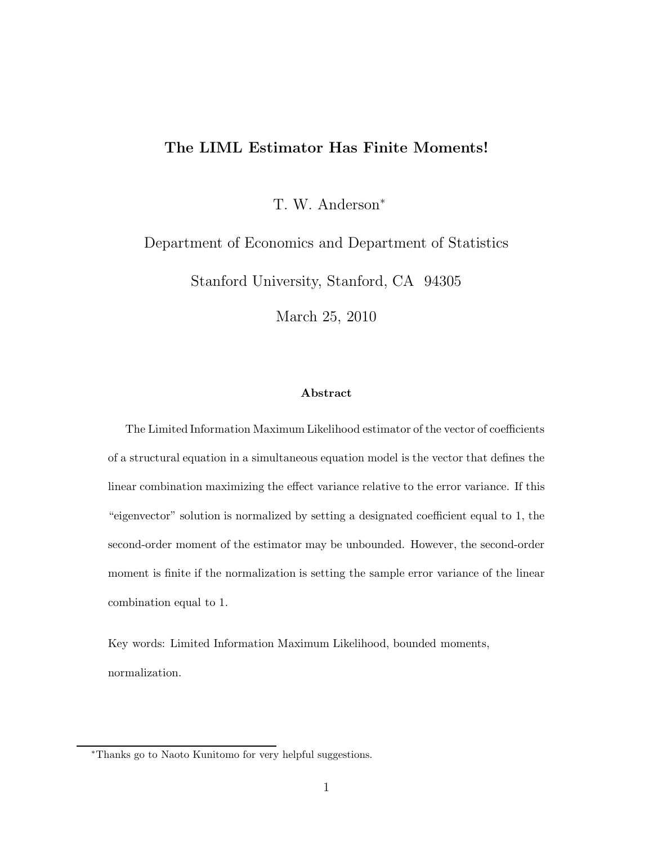### The LIML Estimator Has Finite Moments!

T. W. Anderson<sup>∗</sup>

Department of Economics and Department of Statistics

Stanford University, Stanford, CA 94305

March 25, 2010

#### Abstract

The Limited Information Maximum Likelihood estimator of the vector of coefficients of a structural equation in a simultaneous equation model is the vector that defines the linear combination maximizing the effect variance relative to the error variance. If this "eigenvector" solution is normalized by setting a designated coefficient equal to 1, the second-order moment of the estimator may be unbounded. However, the second-order moment is finite if the normalization is setting the sample error variance of the linear combination equal to 1.

Key words: Limited Information Maximum Likelihood, bounded moments, normalization.

<sup>∗</sup>Thanks go to Naoto Kunitomo for very helpful suggestions.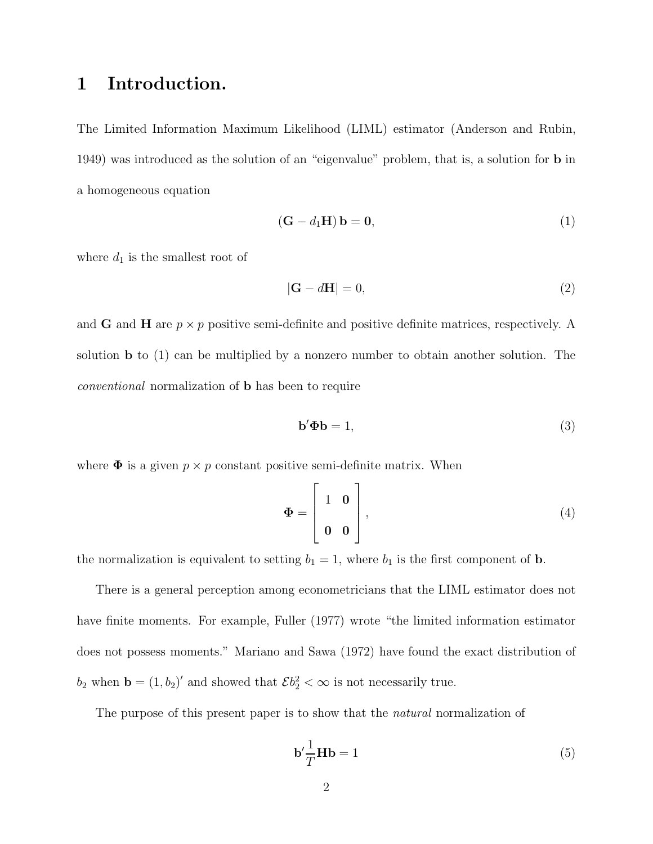# 1 Introduction.

The Limited Information Maximum Likelihood (LIML) estimator (Anderson and Rubin, 1949) was introduced as the solution of an "eigenvalue" problem, that is, a solution for b in a homogeneous equation

$$
(\mathbf{G} - d_1 \mathbf{H}) \mathbf{b} = \mathbf{0},\tag{1}
$$

where  $d_1$  is the smallest root of

$$
|\mathbf{G} - d\mathbf{H}| = 0,\t(2)
$$

and **G** and **H** are  $p \times p$  positive semi-definite and positive definite matrices, respectively. A solution b to (1) can be multiplied by a nonzero number to obtain another solution. The conventional normalization of b has been to require

$$
\mathbf{b}'\mathbf{\Phi}\mathbf{b} = 1,\tag{3}
$$

where  $\Phi$  is a given  $p \times p$  constant positive semi-definite matrix. When

$$
\Phi = \begin{bmatrix} 1 & 0 \\ 0 & 0 \end{bmatrix},\tag{4}
$$

the normalization is equivalent to setting  $b_1 = 1$ , where  $b_1$  is the first component of **b**.

There is a general perception among econometricians that the LIML estimator does not have finite moments. For example, Fuller (1977) wrote "the limited information estimator does not possess moments." Mariano and Sawa (1972) have found the exact distribution of  $b_2$  when  $\mathbf{b} = (1, b_2)'$  and showed that  $\mathcal{E}b_2^2 < \infty$  is not necessarily true.

The purpose of this present paper is to show that the *natural* normalization of

$$
\mathbf{b}' \frac{1}{T} \mathbf{H} \mathbf{b} = 1 \tag{5}
$$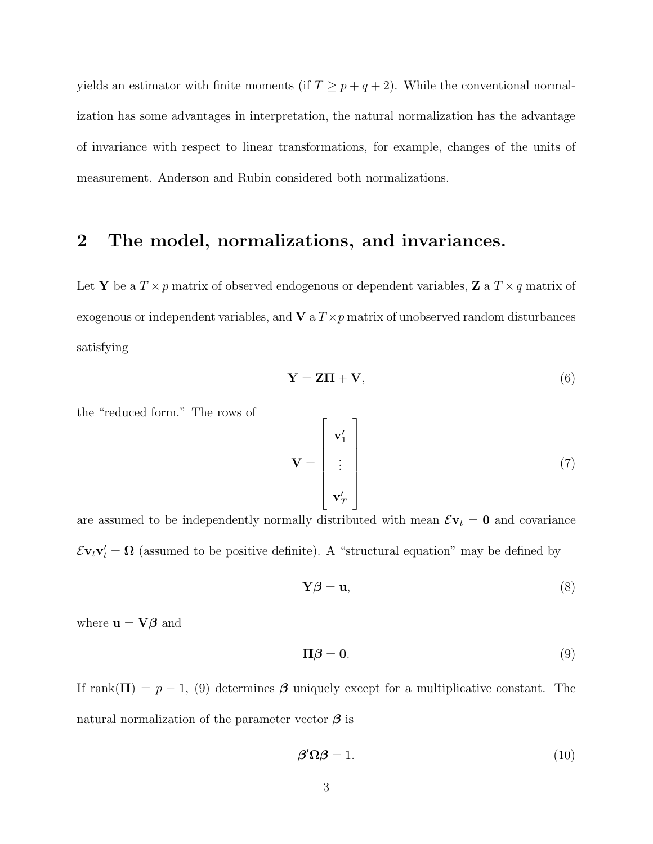yields an estimator with finite moments (if  $T \geq p + q + 2$ ). While the conventional normalization has some advantages in interpretation, the natural normalization has the advantage of invariance with respect to linear transformations, for example, changes of the units of measurement. Anderson and Rubin considered both normalizations.

## 2 The model, normalizations, and invariances.

Let Y be a  $T \times p$  matrix of observed endogenous or dependent variables, Z a  $T \times q$  matrix of exogenous or independent variables, and  $V$  a  $T \times p$  matrix of unobserved random disturbances satisfying

$$
\mathbf{Y} = \mathbf{Z}\mathbf{\Pi} + \mathbf{V},\tag{6}
$$

the "reduced form." The rows of

$$
\mathbf{V} = \begin{bmatrix} \mathbf{v}'_1 \\ \vdots \\ \mathbf{v}'_T \end{bmatrix}
$$
 (7)

are assumed to be independently normally distributed with mean  $\mathcal{E}v_t = 0$  and covariance  $\mathcal{E} \mathbf{v}_t \mathbf{v}'_t = \mathbf{\Omega}$  (assumed to be positive definite). A "structural equation" may be defined by

$$
\mathbf{Y}\boldsymbol{\beta} = \mathbf{u},\tag{8}
$$

where  $\mathbf{u} = \nabla \beta$  and

$$
\Pi \beta = 0. \tag{9}
$$

If  $rank(\Pi) = p - 1$ , (9) determines  $\beta$  uniquely except for a multiplicative constant. The natural normalization of the parameter vector  $\beta$  is

$$
\beta' \Omega \beta = 1. \tag{10}
$$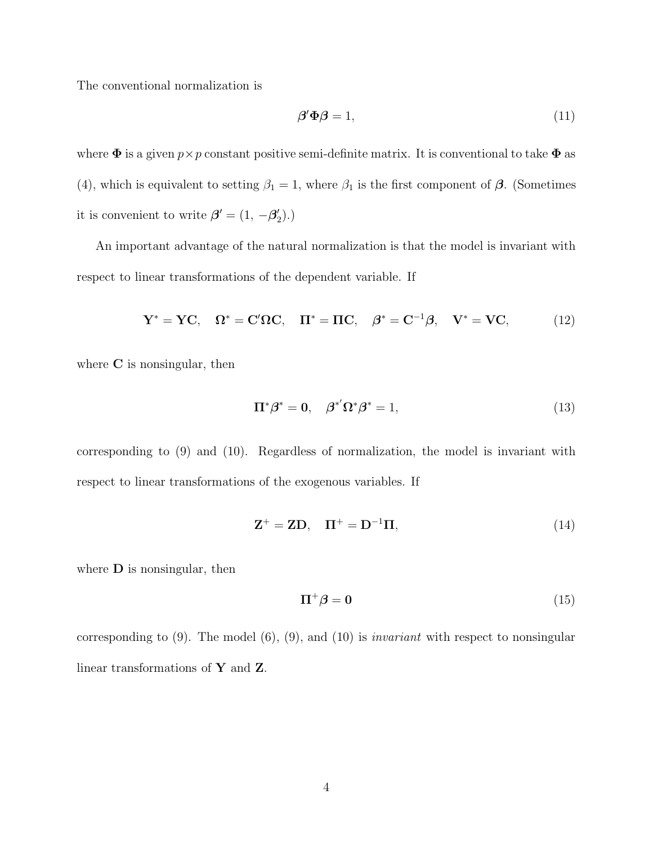The conventional normalization is

$$
\beta' \Phi \beta = 1,\tag{11}
$$

where  $\Phi$  is a given  $p \times p$  constant positive semi-definite matrix. It is conventional to take  $\Phi$  as (4), which is equivalent to setting  $\beta_1 = 1$ , where  $\beta_1$  is the first component of  $\beta$ . (Sometimes it is convenient to write  $\boldsymbol{\beta}' = (1, -\boldsymbol{\beta}_2')$  $'_{2}).$ 

An important advantage of the natural normalization is that the model is invariant with respect to linear transformations of the dependent variable. If

$$
\mathbf{Y}^* = \mathbf{Y}\mathbf{C}, \quad \mathbf{\Omega}^* = \mathbf{C}'\mathbf{\Omega}\mathbf{C}, \quad \mathbf{\Pi}^* = \mathbf{\Pi}\mathbf{C}, \quad \boldsymbol{\beta}^* = \mathbf{C}^{-1}\boldsymbol{\beta}, \quad \mathbf{V}^* = \mathbf{V}\mathbf{C}, \tag{12}
$$

where **C** is nonsingular, then

$$
\Pi^*\beta^* = 0, \quad \beta^{*'}\Omega^*\beta^* = 1,
$$
\n(13)

corresponding to (9) and (10). Regardless of normalization, the model is invariant with respect to linear transformations of the exogenous variables. If

$$
\mathbf{Z}^+ = \mathbf{Z}\mathbf{D}, \quad \mathbf{\Pi}^+ = \mathbf{D}^{-1}\mathbf{\Pi}, \tag{14}
$$

where  **is nonsingular, then** 

$$
\Pi^+ \beta = 0 \tag{15}
$$

corresponding to  $(9)$ . The model  $(6)$ ,  $(9)$ , and  $(10)$  is *invariant* with respect to nonsingular linear transformations of Y and Z.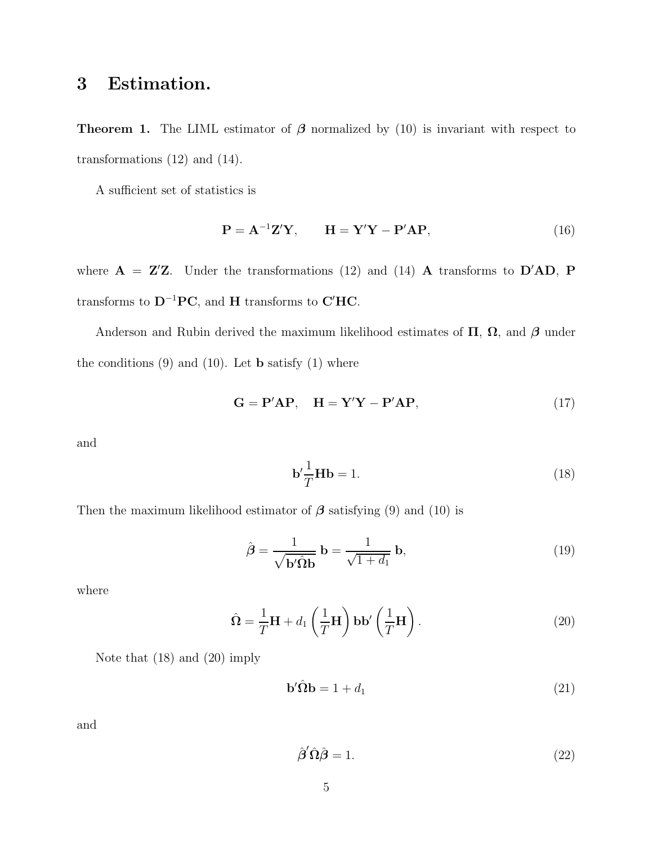# 3 Estimation.

**Theorem 1.** The LIML estimator of  $\beta$  normalized by (10) is invariant with respect to transformations (12) and (14).

A sufficient set of statistics is

$$
\mathbf{P} = \mathbf{A}^{-1} \mathbf{Z}' \mathbf{Y}, \qquad \mathbf{H} = \mathbf{Y}' \mathbf{Y} - \mathbf{P}' \mathbf{A} \mathbf{P}, \tag{16}
$$

where  $A = Z'Z$ . Under the transformations (12) and (14) A transforms to  $D'AD$ , P transforms to  $D^{-1}PC$ , and H transforms to C'HC.

Anderson and Rubin derived the maximum likelihood estimates of  $\Pi$ ,  $\Omega$ , and  $\beta$  under the conditions  $(9)$  and  $(10)$ . Let **b** satisfy  $(1)$  where

$$
\mathbf{G} = \mathbf{P}' \mathbf{A} \mathbf{P}, \quad \mathbf{H} = \mathbf{Y}' \mathbf{Y} - \mathbf{P}' \mathbf{A} \mathbf{P}, \tag{17}
$$

and

$$
\mathbf{b}' \frac{1}{T} \mathbf{H} \mathbf{b} = 1. \tag{18}
$$

Then the maximum likelihood estimator of  $\beta$  satisfying (9) and (10) is

$$
\hat{\boldsymbol{\beta}} = \frac{1}{\sqrt{\mathbf{b}'\hat{\boldsymbol{\Omega}}}\mathbf{b}} = \frac{1}{\sqrt{1+d_1}} \mathbf{b},\tag{19}
$$

where

$$
\hat{\mathbf{\Omega}} = \frac{1}{T} \mathbf{H} + d_1 \left(\frac{1}{T} \mathbf{H}\right) \mathbf{b} \mathbf{b}' \left(\frac{1}{T} \mathbf{H}\right).
$$
\n(20)

Note that (18) and (20) imply

$$
\mathbf{b}'\hat{\mathbf{\Omega}}\mathbf{b} = 1 + d_1 \tag{21}
$$

and

$$
\hat{\boldsymbol{\beta}}' \hat{\boldsymbol{\Omega}} \hat{\boldsymbol{\beta}} = 1. \tag{22}
$$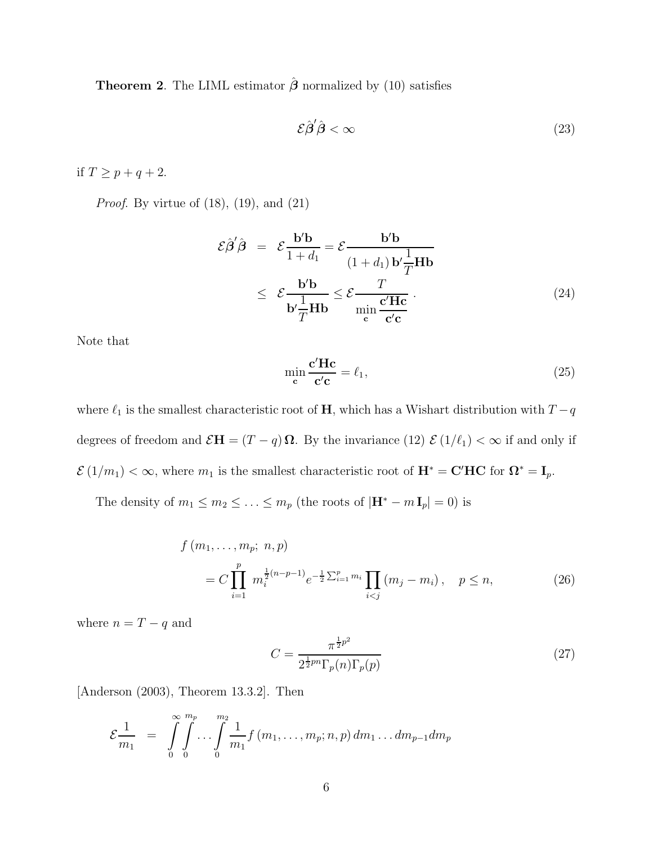**Theorem 2.** The LIML estimator  $\hat{\boldsymbol{\beta}}$  normalized by (10) satisfies

$$
\mathcal{E}\hat{\boldsymbol{\beta}}'\hat{\boldsymbol{\beta}} < \infty \tag{23}
$$

if  $T \geq p+q+2$ .

*Proof.* By virtue of  $(18)$ ,  $(19)$ , and  $(21)$ 

$$
\mathcal{E}\hat{\beta}'\hat{\beta} = \mathcal{E}\frac{\mathbf{b}'\mathbf{b}}{1+d_1} = \mathcal{E}\frac{\mathbf{b}'\mathbf{b}}{(1+d_1)\mathbf{b}'\frac{1}{T}\mathbf{H}\mathbf{b}}
$$
  
 
$$
\leq \mathcal{E}\frac{\mathbf{b}'\mathbf{b}}{\mathbf{b}'\frac{1}{T}\mathbf{H}\mathbf{b}} \leq \mathcal{E}\frac{T}{\min_{\mathbf{c}} \frac{\mathbf{c}'\mathbf{H}\mathbf{c}}{\mathbf{c}'\mathbf{c}}}.
$$
 (24)

Note that

$$
\min_{\mathbf{c}} \frac{\mathbf{c'} \mathbf{H} \mathbf{c}}{\mathbf{c'} \mathbf{c}} = \ell_1,\tag{25}
$$

where  $\ell_1$  is the smallest characteristic root of  $\mathbf H,$  which has a Wishart distribution with  $T-q$ degrees of freedom and  $\mathcal{E}H = (T - q)\Omega$ . By the invariance (12)  $\mathcal{E}(1/\ell_1) < \infty$  if and only if  $\mathcal{E}(1/m_1) < \infty$ , where  $m_1$  is the smallest characteristic root of  $\mathbf{H}^* = \mathbf{C}'\mathbf{HC}$  for  $\mathbf{\Omega}^* = \mathbf{I}_p$ .

The density of  $m_1 \le m_2 \le \ldots \le m_p$  (the roots of  $|\mathbf{H}^* - m \mathbf{I}_p| = 0$ ) is

$$
f (m_1, ..., m_p; n, p)
$$
  
=  $C \prod_{i=1}^p m_i^{\frac{1}{2}(n-p-1)} e^{-\frac{1}{2} \sum_{i=1}^p m_i} \prod_{i < j} (m_j - m_i), \quad p \le n,$  (26)

where  $n = T - q$  and

$$
C = \frac{\pi^{\frac{1}{2}p^2}}{2^{\frac{1}{2}pn} \Gamma_p(n) \Gamma_p(p)}\tag{27}
$$

[Anderson (2003), Theorem 13.3.2]. Then

$$
\mathcal{E}\frac{1}{m_1} = \int_{0}^{\infty} \int_{0}^{m_p} \dots \int_{0}^{m_2} \frac{1}{m_1} f(m_1, \dots, m_p; n, p) dm_1 \dots dm_{p-1} dm_p
$$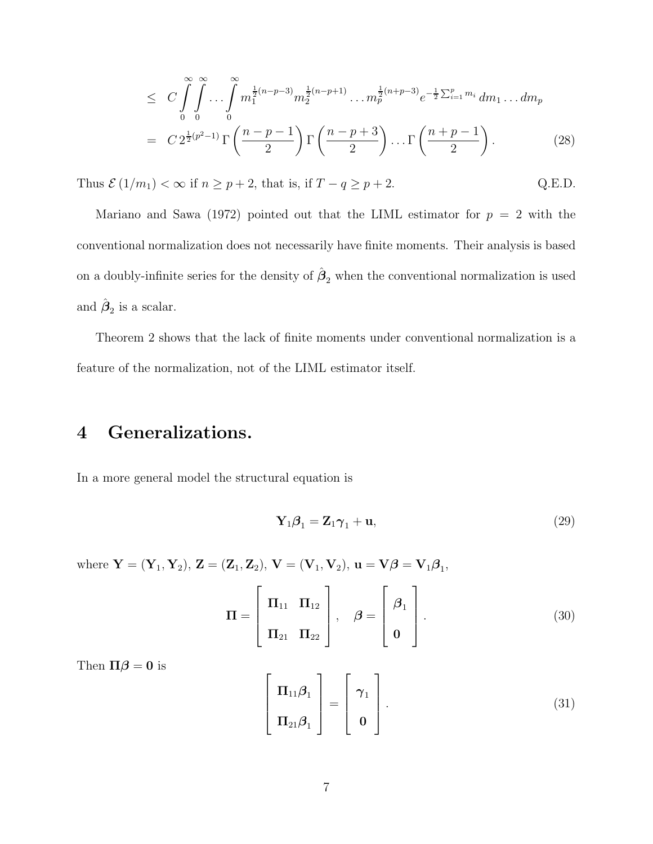$$
\leq C \int_{0}^{\infty} \int_{0}^{\infty} \dots \int_{0}^{\infty} m_1^{\frac{1}{2}(n-p-3)} m_2^{\frac{1}{2}(n-p+1)} \dots m_p^{\frac{1}{2}(n+p-3)} e^{-\frac{1}{2} \sum_{i=1}^p m_i} dm_1 \dots dm_p
$$
  
=  $C 2^{\frac{1}{2}(p^2-1)} \Gamma \left( \frac{n-p-1}{2} \right) \Gamma \left( \frac{n-p+3}{2} \right) \dots \Gamma \left( \frac{n+p-1}{2} \right).$  (28)

Thus  $\mathcal{E}(1/m_1) < \infty$  if  $n \ge p+2$ , that is, if  $T - q \ge p+2$ . Q.E.D.

Mariano and Sawa (1972) pointed out that the LIML estimator for  $p = 2$  with the conventional normalization does not necessarily have finite moments. Their analysis is based on a doubly-infinite series for the density of  $\hat{\beta}_2$  when the conventional normalization is used and  $\hat{\boldsymbol{\beta}}_2$  is a scalar.

Theorem 2 shows that the lack of finite moments under conventional normalization is a feature of the normalization, not of the LIML estimator itself.

# 4 Generalizations.

In a more general model the structural equation is

$$
\mathbf{Y}_1 \boldsymbol{\beta}_1 = \mathbf{Z}_1 \boldsymbol{\gamma}_1 + \mathbf{u},\tag{29}
$$

where  $Y = (Y_1, Y_2), Z = (Z_1, Z_2), V = (V_1, V_2), u = V\beta = V_1\beta_1,$ 

$$
\mathbf{\Pi} = \begin{bmatrix} \mathbf{\Pi}_{11} & \mathbf{\Pi}_{12} \\ \mathbf{\Pi}_{21} & \mathbf{\Pi}_{22} \end{bmatrix}, \quad \boldsymbol{\beta} = \begin{bmatrix} \boldsymbol{\beta}_1 \\ \mathbf{0} \end{bmatrix}.
$$
 (30)

Then  $\Pi\beta = 0$  is

$$
\begin{bmatrix} \Pi_{11}\boldsymbol{\beta}_1 \\ \Pi_{21}\boldsymbol{\beta}_1 \end{bmatrix} = \begin{bmatrix} \boldsymbol{\gamma}_1 \\ \mathbf{0} \end{bmatrix}.
$$
 (31)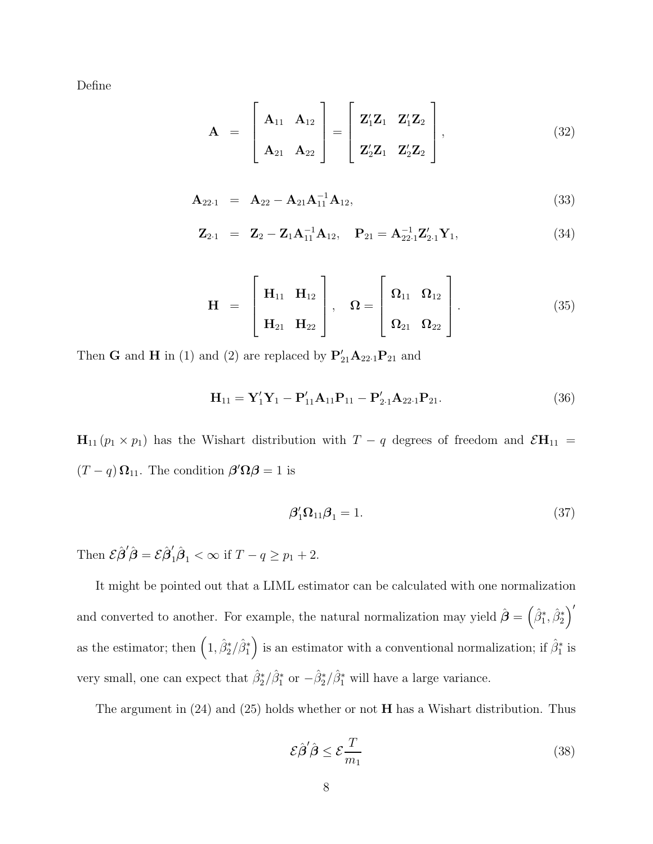Define

$$
\mathbf{A} = \begin{bmatrix} \mathbf{A}_{11} & \mathbf{A}_{12} \\ \mathbf{A}_{21} & \mathbf{A}_{22} \end{bmatrix} = \begin{bmatrix} \mathbf{Z}_1' \mathbf{Z}_1 & \mathbf{Z}_1' \mathbf{Z}_2 \\ \mathbf{Z}_2' \mathbf{Z}_1 & \mathbf{Z}_2' \mathbf{Z}_2 \end{bmatrix},
$$
(32)

$$
\mathbf{A}_{22\cdot 1} = \mathbf{A}_{22} - \mathbf{A}_{21} \mathbf{A}_{11}^{-1} \mathbf{A}_{12}, \tag{33}
$$

$$
\mathbf{Z}_{2\cdot 1} = \mathbf{Z}_2 - \mathbf{Z}_1 \mathbf{A}_{11}^{-1} \mathbf{A}_{12}, \quad \mathbf{P}_{21} = \mathbf{A}_{22\cdot 1}^{-1} \mathbf{Z}_{2\cdot 1}' \mathbf{Y}_1, \tag{34}
$$

$$
\mathbf{H} = \begin{bmatrix} \mathbf{H}_{11} & \mathbf{H}_{12} \\ \mathbf{H}_{21} & \mathbf{H}_{22} \end{bmatrix}, \quad \mathbf{\Omega} = \begin{bmatrix} \mathbf{\Omega}_{11} & \mathbf{\Omega}_{12} \\ \mathbf{\Omega}_{21} & \mathbf{\Omega}_{22} \end{bmatrix}.
$$
 (35)

Then **G** and **H** in (1) and (2) are replaced by  $P'_{21}A_{22\cdot1}P_{21}$  and

$$
\mathbf{H}_{11} = \mathbf{Y}_1' \mathbf{Y}_1 - \mathbf{P}_{11}' \mathbf{A}_{11} \mathbf{P}_{11} - \mathbf{P}_{2.1}' \mathbf{A}_{22.1} \mathbf{P}_{21}.
$$
 (36)

 $\mathbf{H}_{11} (p_1 \times p_1)$  has the Wishart distribution with  $T - q$  degrees of freedom and  $\mathcal{E} \mathbf{H}_{11} =$  $(T - q) \Omega_{11}$ . The condition  $\beta' \Omega \beta = 1$  is

$$
\beta'_1 \Omega_{11} \beta_1 = 1. \tag{37}
$$

Then  $\mathcal{E}\hat{\boldsymbol{\beta}}'\hat{\boldsymbol{\beta}} = \mathcal{E}\hat{\boldsymbol{\beta}}'_1\hat{\boldsymbol{\beta}}_1 < \infty$  if  $T - q \ge p_1 + 2$ .

It might be pointed out that a LIML estimator can be calculated with one normalization and converted to another. For example, the natural normalization may yield  $\hat{\boldsymbol{\beta}} = (\hat{\beta}_1^*, \hat{\beta}_2^*)'$ as the estimator; then  $(1, \hat{\beta}_2^*/\hat{\beta}_1^*$  $\binom{*}{1}$  is an estimator with a conventional normalization; if  $\hat{\beta}_1^*$  $i$ <sup>\*</sup> is very small, one can expect that  $\hat{\beta}_2^*/\hat{\beta}_1^*$  or  $-\hat{\beta}_2^*/\hat{\beta}_1^*$  will have a large variance.

The argument in  $(24)$  and  $(25)$  holds whether or not **H** has a Wishart distribution. Thus

$$
\mathcal{E}\hat{\beta}'\hat{\beta} \le \mathcal{E}\frac{T}{m_1} \tag{38}
$$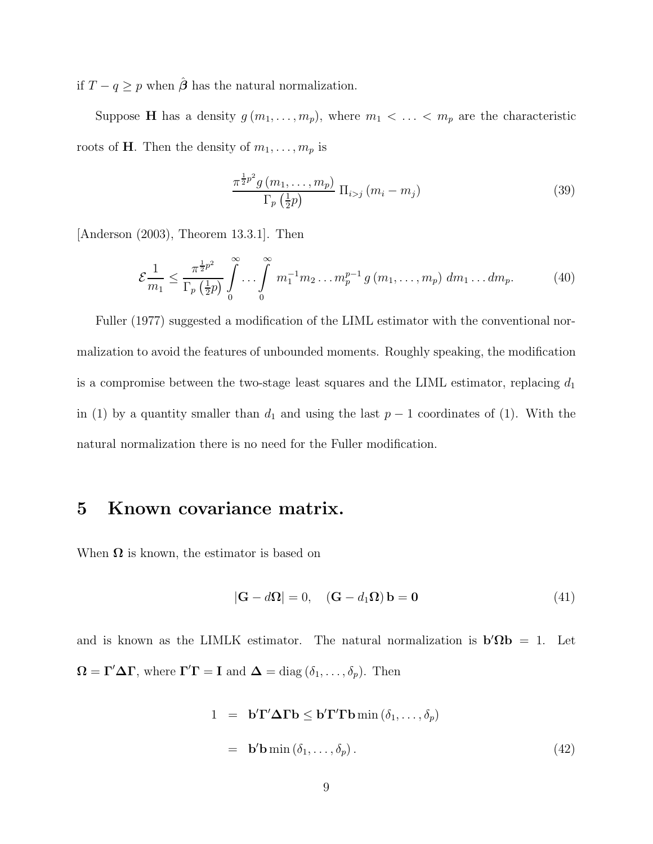if  $T - q \geq p$  when  $\hat{\boldsymbol{\beta}}$  has the natural normalization.

Suppose **H** has a density  $g(m_1, \ldots, m_p)$ , where  $m_1 < \ldots < m_p$  are the characteristic roots of **H**. Then the density of  $m_1, \ldots, m_p$  is

$$
\frac{\pi^{\frac{1}{2}p^2}g(m_1,\ldots,m_p)}{\Gamma_p\left(\frac{1}{2}p\right)}\,\Pi_{i>j}\left(m_i-m_j\right) \tag{39}
$$

[Anderson (2003), Theorem 13.3.1]. Then

$$
\mathcal{E}\frac{1}{m_1} \le \frac{\pi^{\frac{1}{2}p^2}}{\Gamma_p\left(\frac{1}{2}p\right)} \int_0^\infty \cdots \int_0^\infty m_1^{-1} m_2 \ldots m_p^{p-1} g\left(m_1, \ldots, m_p\right) \, dm_1 \ldots dm_p. \tag{40}
$$

Fuller (1977) suggested a modification of the LIML estimator with the conventional normalization to avoid the features of unbounded moments. Roughly speaking, the modification is a compromise between the two-stage least squares and the LIML estimator, replacing  $d_1$ in (1) by a quantity smaller than  $d_1$  and using the last  $p-1$  coordinates of (1). With the natural normalization there is no need for the Fuller modification.

## 5 Known covariance matrix.

When  $\Omega$  is known, the estimator is based on

$$
|\mathbf{G} - d\mathbf{\Omega}| = 0, \quad (\mathbf{G} - d_1 \mathbf{\Omega}) \mathbf{b} = \mathbf{0}
$$
 (41)

and is known as the LIMLK estimator. The natural normalization is  $\mathbf{b}'\Omega \mathbf{b} = 1$ . Let  $\Omega = \Gamma' \Delta \Gamma$ , where  $\Gamma' \Gamma = I$  and  $\Delta = \text{diag}(\delta_1, \dots, \delta_p)$ . Then

$$
1 = \mathbf{b}'\mathbf{\Gamma}'\Delta\mathbf{\Gamma}\mathbf{b} \le \mathbf{b}'\mathbf{\Gamma}'\mathbf{\Gamma}\mathbf{b}\min\left(\delta_1,\ldots,\delta_p\right)
$$
  
=  $\mathbf{b}'\mathbf{b}\min\left(\delta_1,\ldots,\delta_p\right).$  (42)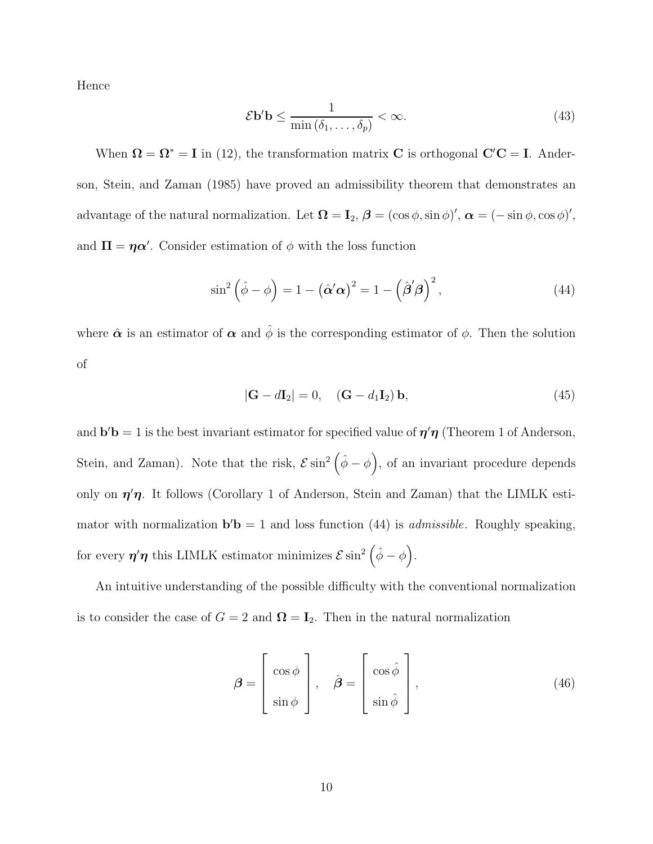Hence

$$
\mathcal{E}\mathbf{b}'\mathbf{b} \le \frac{1}{\min\left(\delta_1,\ldots,\delta_p\right)} < \infty. \tag{43}
$$

When  $\Omega = \Omega^* = I$  in (12), the transformation matrix C is orthogonal  $C'C = I$ . Anderson, Stein, and Zaman (1985) have proved an admissibility theorem that demonstrates an advantage of the natural normalization. Let  $\mathbf{\Omega} = \mathbf{I}_2$ ,  $\boldsymbol{\beta} = (\cos \phi, \sin \phi)'$ ,  $\boldsymbol{\alpha} = (-\sin \phi, \cos \phi)'$ , and  $\Pi = \eta \alpha'$ . Consider estimation of  $\phi$  with the loss function

$$
\sin^2\left(\hat{\phi} - \phi\right) = 1 - \left(\hat{\alpha}'\alpha\right)^2 = 1 - \left(\hat{\beta}'\beta\right)^2,\tag{44}
$$

where  $\hat{\boldsymbol{\alpha}}$  is an estimator of  $\boldsymbol{\alpha}$  and  $\hat{\phi}$  is the corresponding estimator of  $\phi$ . Then the solution of

$$
|\mathbf{G} - d\mathbf{I}_2| = 0, \quad (\mathbf{G} - d_1 \mathbf{I}_2) \mathbf{b}, \tag{45}
$$

and  $\mathbf{b}'\mathbf{b} = 1$  is the best invariant estimator for specified value of  $\eta' \eta$  (Theorem 1 of Anderson, Stein, and Zaman). Note that the risk,  $\mathcal{E} \sin^2(\hat{\phi} - \phi)$ , of an invariant procedure depends only on  $\eta'$ , It follows (Corollary 1 of Anderson, Stein and Zaman) that the LIMLK estimator with normalization  $\mathbf{b}'\mathbf{b} = 1$  and loss function (44) is *admissible*. Roughly speaking, for every  $\eta'\eta$  this LIMLK estimator minimizes  $\mathcal{E} \sin^2\left(\hat{\phi} - \phi\right)$ .

An intuitive understanding of the possible difficulty with the conventional normalization is to consider the case of  $G = 2$  and  $\mathbf{\Omega} = \mathbf{I}_2$ . Then in the natural normalization

$$
\boldsymbol{\beta} = \begin{bmatrix} \cos \phi \\ \sin \phi \end{bmatrix}, \quad \hat{\boldsymbol{\beta}} = \begin{bmatrix} \cos \hat{\phi} \\ \sin \hat{\phi} \end{bmatrix}, \tag{46}
$$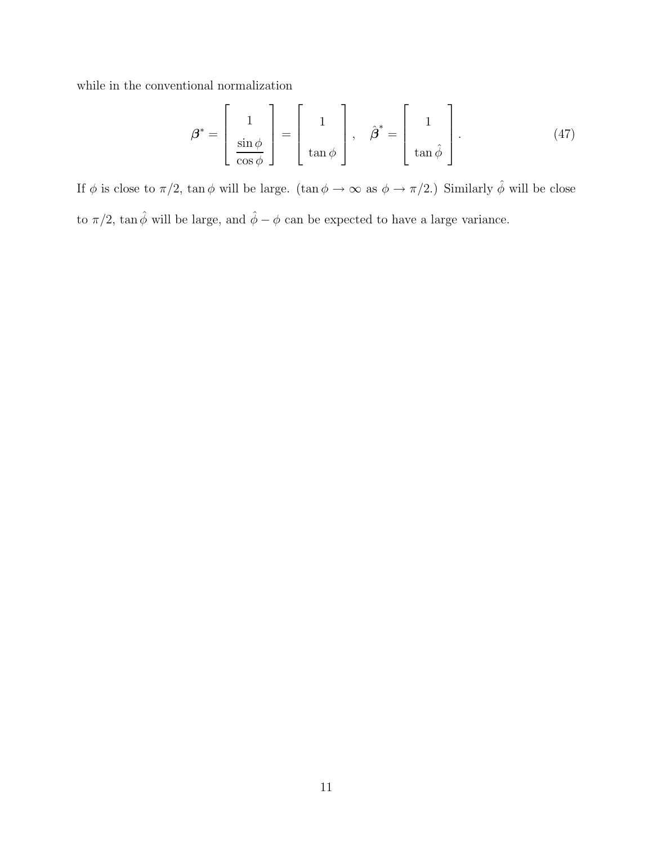while in the conventional normalization

$$
\boldsymbol{\beta}^* = \begin{bmatrix} 1 \\ \frac{\sin \phi}{\cos \phi} \end{bmatrix} = \begin{bmatrix} 1 \\ \tan \phi \end{bmatrix}, \quad \hat{\boldsymbol{\beta}}^* = \begin{bmatrix} 1 \\ \tan \hat{\phi} \end{bmatrix}.
$$
 (47)

If  $\phi$  is close to  $\pi/2$ , tan  $\phi$  will be large. (tan  $\phi \to \infty$  as  $\phi \to \pi/2$ .) Similarly  $\hat{\phi}$  will be close to  $\pi/2$ , tan $\hat{\phi}$  will be large, and  $\hat{\phi} - \phi$  can be expected to have a large variance.